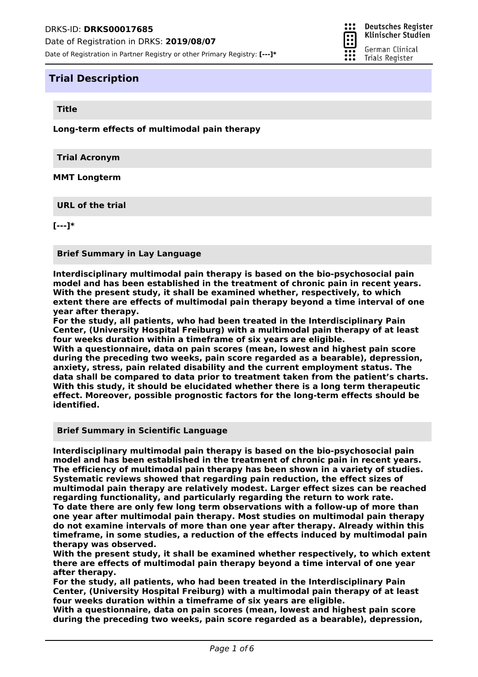Date of Registration in Partner Registry or other Primary Registry: **[---]\***

# **Trial Description**

#### **Title**

**Long-term effects of multimodal pain therapy**

**Trial Acronym**

**MMT Longterm**

**URL of the trial**

**[---]\***

**Brief Summary in Lay Language**

**Interdisciplinary multimodal pain therapy is based on the bio-psychosocial pain model and has been established in the treatment of chronic pain in recent years. With the present study, it shall be examined whether, respectively, to which extent there are effects of multimodal pain therapy beyond a time interval of one year after therapy.**

**For the study, all patients, who had been treated in the Interdisciplinary Pain Center, (University Hospital Freiburg) with a multimodal pain therapy of at least four weeks duration within a timeframe of six years are eligible.**

**With a questionnaire, data on pain scores (mean, lowest and highest pain score during the preceding two weeks, pain score regarded as a bearable), depression, anxiety, stress, pain related disability and the current employment status. The data shall be compared to data prior to treatment taken from the patient's charts. With this study, it should be elucidated whether there is a long term therapeutic effect. Moreover, possible prognostic factors for the long-term effects should be identified.**

**Brief Summary in Scientific Language**

**Interdisciplinary multimodal pain therapy is based on the bio-psychosocial pain model and has been established in the treatment of chronic pain in recent years. The efficiency of multimodal pain therapy has been shown in a variety of studies. Systematic reviews showed that regarding pain reduction, the effect sizes of multimodal pain therapy are relatively modest. Larger effect sizes can be reached regarding functionality, and particularly regarding the return to work rate. To date there are only few long term observations with a follow-up of more than one year after multimodal pain therapy. Most studies on multimodal pain therapy do not examine intervals of more than one year after therapy. Already within this timeframe, in some studies, a reduction of the effects induced by multimodal pain therapy was observed.**

**With the present study, it shall be examined whether respectively, to which extent there are effects of multimodal pain therapy beyond a time interval of one year after therapy.**

**For the study, all patients, who had been treated in the Interdisciplinary Pain Center, (University Hospital Freiburg) with a multimodal pain therapy of at least four weeks duration within a timeframe of six years are eligible.**

**With a questionnaire, data on pain scores (mean, lowest and highest pain score during the preceding two weeks, pain score regarded as a bearable), depression,**

። **Deutsches Register** π

Klinischer Studien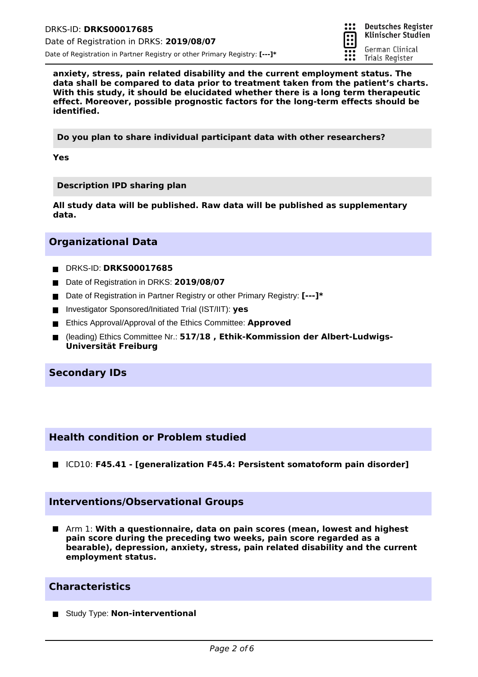

**anxiety, stress, pain related disability and the current employment status. The data shall be compared to data prior to treatment taken from the patient's charts. With this study, it should be elucidated whether there is a long term therapeutic effect. Moreover, possible prognostic factors for the long-term effects should be identified.**

**Do you plan to share individual participant data with other researchers?**

**Yes**

**Description IPD sharing plan**

**All study data will be published. Raw data will be published as supplementary data.**

# **Organizational Data**

- DRKS-ID: **DRKS00017685**
- Date of Registration in DRKS: 2019/08/07
- Date of Registration in Partner Registry or other Primary Registry: **[---]** \*
- Investigator Sponsored/Initiated Trial (IST/IIT): ves
- Ethics Approval/Approval of the Ethics Committee: **Approved**
- (leading) Ethics Committee Nr.: **517/18 , Ethik-Kommission der Albert-Ludwigs-** $\blacksquare$ **Universität Freiburg**

# **Secondary IDs**

# **Health condition or Problem studied**

ICD10: **F45.41 - [generalization F45.4: Persistent somatoform pain disorder]**

## **Interventions/Observational Groups**

Arm 1: **With a questionnaire, data on pain scores (mean, lowest and highest pain score during the preceding two weeks, pain score regarded as a bearable), depression, anxiety, stress, pain related disability and the current employment status.**

# **Characteristics**

**Study Type: Non-interventional**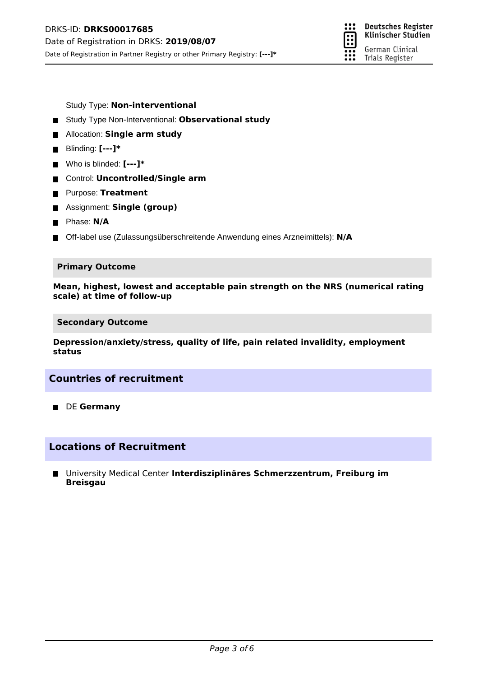

Study Type: **Non-interventional**

- Study Type Non-Interventional: **Observational study**
- **E** Allocation: **Single arm study**
- Blinding: **[---]**\*
- Who is blinded: **[---]\***
- Control: **Uncontrolled/Single arm**
- **Purpose: Treatment**
- Assignment: **Single (group)**
- **Phase: N/A**
- Off-label use (Zulassungsüberschreitende Anwendung eines Arzneimittels): **N/A**

#### **Primary Outcome**

**Mean, highest, lowest and acceptable pain strength on the NRS (numerical rating scale) at time of follow-up**

**Secondary Outcome**

**Depression/anxiety/stress, quality of life, pain related invalidity, employment status**

# **Countries of recruitment**

**DE Germany** 

# **Locations of Recruitment**

University Medical Center **Interdisziplinäres Schmerzzentrum, Freiburg im Breisgau**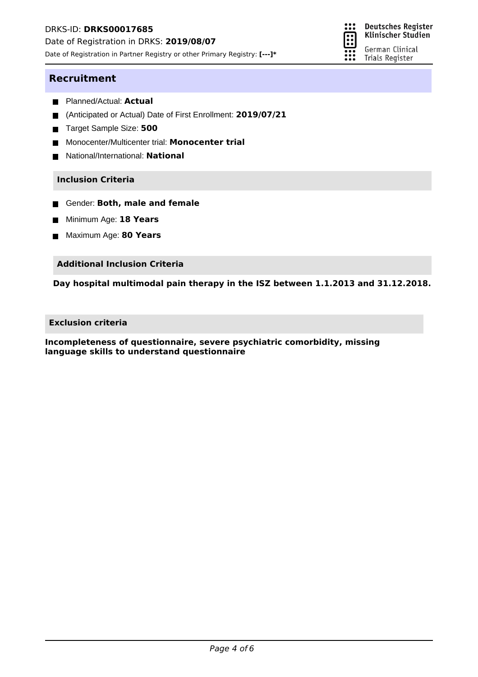Date of Registration in DRKS: **2019/08/07**

Date of Registration in Partner Registry or other Primary Registry: **[---]\***



### **Recruitment**

- Planned/Actual: **Actual**
- (Anticipated or Actual) Date of First Enrollment: **2019/07/21**  $\blacksquare$
- Target Sample Size: 500
- Monocenter/Multicenter trial: **Monocenter trial**  $\blacksquare$
- National/International: **National**  $\blacksquare$

#### **Inclusion Criteria**

- **Gender: Both, male and female**
- Minimum Age: **18 Years** п
- Maximum Age: **80 Years**

#### **Additional Inclusion Criteria**

**Day hospital multimodal pain therapy in the ISZ between 1.1.2013 and 31.12.2018.**

### **Exclusion criteria**

**Incompleteness of questionnaire, severe psychiatric comorbidity, missing language skills to understand questionnaire**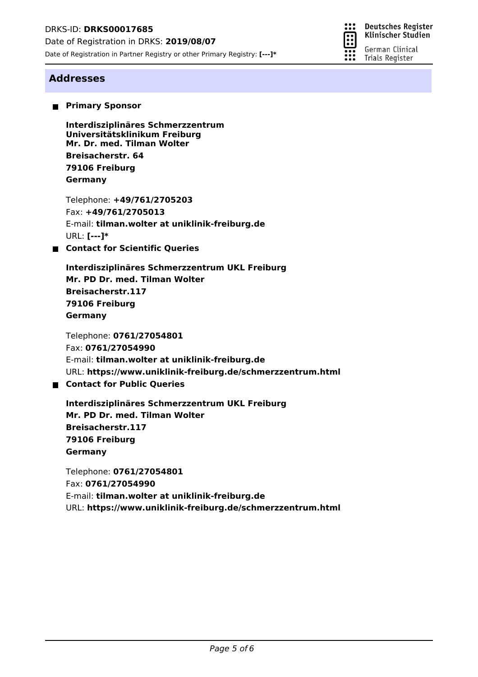

Klinischer Studien German Clinical

Trials Register

# **Addresses**

**Primary Sponsor** 

**Mr. Dr. med. Tilman Wolter Interdisziplinäres Schmerzzentrum Universitätsklinikum Freiburg Breisacherstr. 64 79106 Freiburg Germany**

Telephone: **+49/761/2705203** Fax: **+49/761/2705013** E-mail: **tilman.wolter at uniklinik-freiburg.de** URL: **[---]\***

■ Contact for Scientific Queries

**Mr. PD Dr. med. Tilman Wolter Interdisziplinäres Schmerzzentrum UKL Freiburg Breisacherstr.117 79106 Freiburg Germany**

Telephone: **0761/27054801** Fax: **0761/27054990** E-mail: **tilman.wolter at uniklinik-freiburg.de** URL: **https://www.uniklinik-freiburg.de/schmerzzentrum.html**

# **Contact for Public Queries**

**Mr. PD Dr. med. Tilman Wolter Interdisziplinäres Schmerzzentrum UKL Freiburg Breisacherstr.117 79106 Freiburg Germany**

Telephone: **0761/27054801** Fax: **0761/27054990** E-mail: **tilman.wolter at uniklinik-freiburg.de** URL: **https://www.uniklinik-freiburg.de/schmerzzentrum.html**